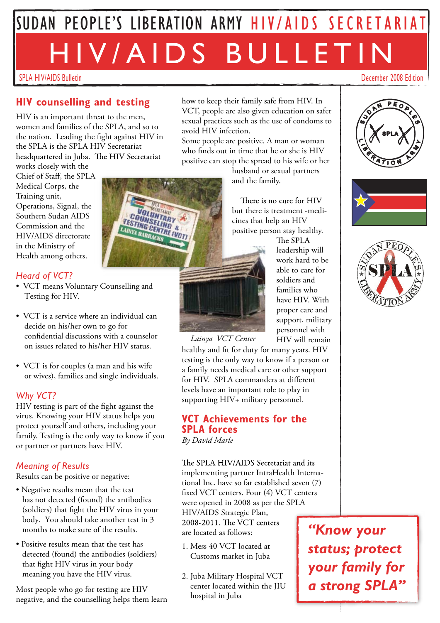# SPLA HIV/AIDS Bulletin December 2008 Edition SUDAN PEOPLE'S LIBERATION ARMY HIV/AIDS SECRETARIAT HIV/A I D S B ULL E T I N

### **HIV counselling and testing**

HIV is an important threat to the men, women and families of the SPLA, and so to the nation. Leading the fight against HIV in the SPLA is the SPLA HIV Secretariat headquartered in Juba. The HIV Secretariat

**LESTING CENTRE** 

works closely with the Chief of Staff, the SPLA Medical Corps, the Training unit, Operations, Signal, the Southern Sudan AIDS Commission and the HIV/AIDS directorate in the Ministry of Health among others.

#### *Heard of VCT?*

- VCT means Voluntary Counselling and Testing for HIV.
- VCT is a service where an individual can decide on his/her own to go for confidential discussions with a counselor on issues related to his/her HIV status.
- VCT is for couples (a man and his wife or wives), families and single individuals.

#### *Why VCT?*

HIV testing is part of the fight against the virus. Knowing your HIV status helps you protect yourself and others, including your family. Testing is the only way to know if you or partner or partners have HIV.

#### *Meaning of Results*

Results can be positive or negative:

- Negative results mean that the test has not detected (found) the antibodies (soldiers) that fight the HIV virus in your body. You should take another test in 3 months to make sure of the results.
- Positive results mean that the test has detected (found) the antibodies (soldiers) that fight HIV virus in your body meaning you have the HIV virus.

Most people who go for testing are HIV negative, and the counselling helps them learn how to keep their family safe from HIV. In VCT, people are also given education on safer sexual practices such as the use of condoms to avoid HIV infection.

Some people are positive. A man or woman who finds out in time that he or she is HIV positive can stop the spread to his wife or her

husband or sexual partners and the family.

There is no cure for HIV but there is treatment -medicines that help an HIV positive person stay healthy.



The SPLA leadership will work hard to be able to care for soldiers and families who have HIV. With proper care and support, military personnel with HIV will remain

healthy and fit for duty for many years. HIV testing is the only way to know if a person or a family needs medical care or other support for HIV. SPLA commanders at different levels have an important role to play in supporting HIV+ military personnel. *Lainya VCT Center*

#### **VCT Achievements for the SPLA forces**

*By David Marle*

The SPLA HIV/AIDS Secretariat and its implementing partner IntraHealth International Inc. have so far established seven (7) fixed VCT centers. Four (4) VCT centers were opened in 2008 as per the SPLA HIV/AIDS Strategic Plan,<br>2008-2011. The VCT centers are located as follows:

- 1. Mess 40 VCT located at Customs market in Juba
- 2. Juba Military Hospital VCT center located within the JIU hospital in Juba

*"Know your status; protect your family for a strong SPLA"*